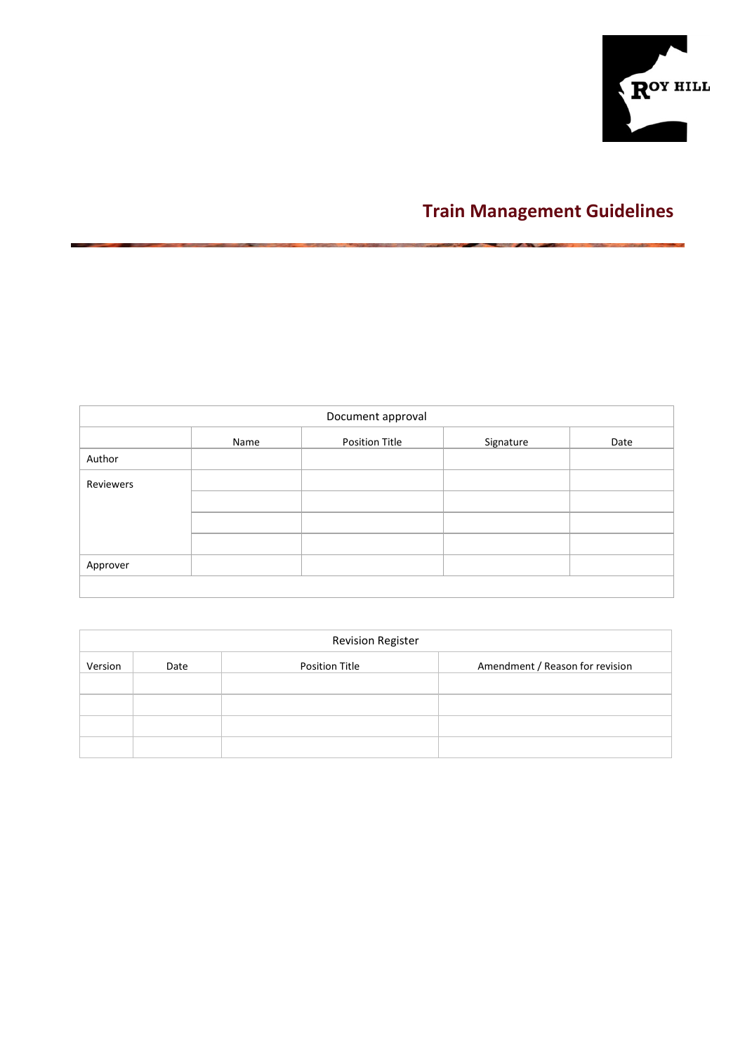

# **Train Management Guidelines**

| Document approval |      |                       |           |      |  |  |  |  |  |  |
|-------------------|------|-----------------------|-----------|------|--|--|--|--|--|--|
|                   | Name | <b>Position Title</b> | Signature | Date |  |  |  |  |  |  |
| Author            |      |                       |           |      |  |  |  |  |  |  |
| Reviewers         |      |                       |           |      |  |  |  |  |  |  |
|                   |      |                       |           |      |  |  |  |  |  |  |
|                   |      |                       |           |      |  |  |  |  |  |  |
|                   |      |                       |           |      |  |  |  |  |  |  |
| Approver          |      |                       |           |      |  |  |  |  |  |  |
|                   |      |                       |           |      |  |  |  |  |  |  |

|         | <b>Revision Register</b> |                |                                 |  |  |  |  |  |  |  |  |  |
|---------|--------------------------|----------------|---------------------------------|--|--|--|--|--|--|--|--|--|
| Version | Date                     | Position Title | Amendment / Reason for revision |  |  |  |  |  |  |  |  |  |
|         |                          |                |                                 |  |  |  |  |  |  |  |  |  |
|         |                          |                |                                 |  |  |  |  |  |  |  |  |  |
|         |                          |                |                                 |  |  |  |  |  |  |  |  |  |
|         |                          |                |                                 |  |  |  |  |  |  |  |  |  |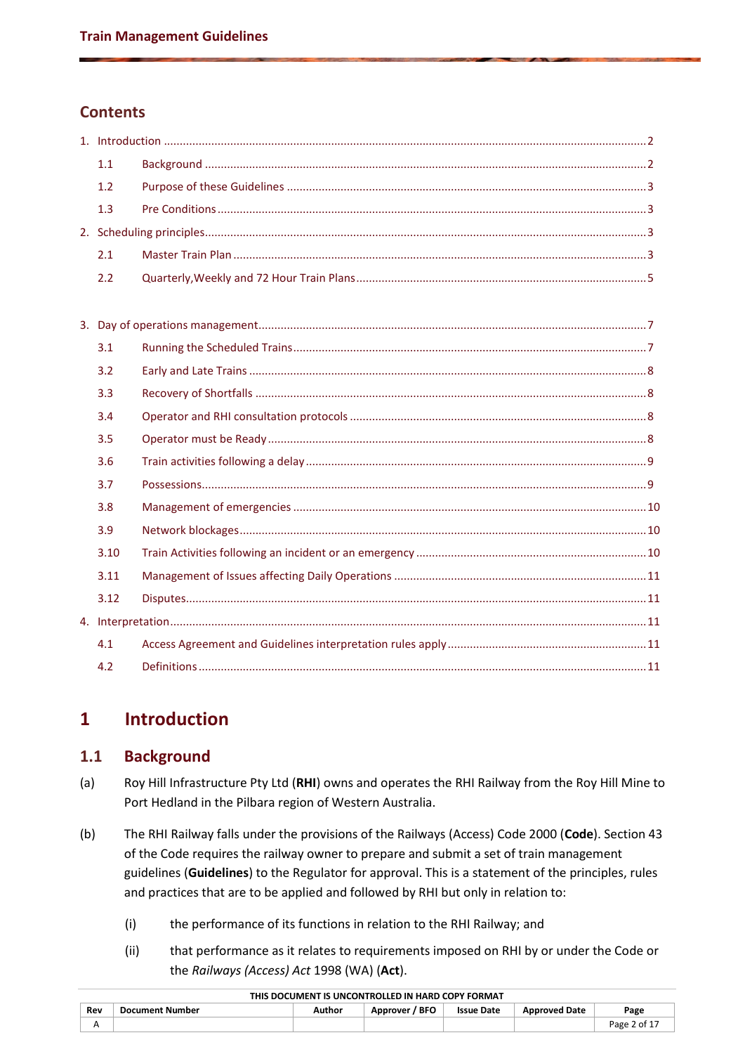# **Contents**

| 1.1 |  |
|-----|--|
| 1.2 |  |
|     |  |
|     |  |
|     |  |
| 2.2 |  |

| 3.1  |  |
|------|--|
| 3.2  |  |
| 3.3  |  |
| 3.4  |  |
| 3.5  |  |
| 3.6  |  |
| 3.7  |  |
| 3.8  |  |
| 3.9  |  |
| 3.10 |  |
| 3.11 |  |
| 3.12 |  |
|      |  |
| 4.1  |  |
| 4.2  |  |

# <span id="page-1-0"></span>**1 Introduction**

# <span id="page-1-1"></span>**1.1 Background**

- (a) Roy Hill Infrastructure Pty Ltd (**RHI**) owns and operates the RHI Railway from the Roy Hill Mine to Port Hedland in the Pilbara region of Western Australia.
- (b) The RHI Railway falls under the provisions of the Railways (Access) Code 2000 (**Code**). Section 43 of the Code requires the railway owner to prepare and submit a set of train management guidelines (**Guidelines**) to the Regulator for approval. This is a statement of the principles, rules and practices that are to be applied and followed by RHI but only in relation to:
	- (i) the performance of its functions in relation to the RHI Railway; and
	- (ii) that performance as it relates to requirements imposed on RHI by or under the Code or the *Railways (Access) Act* 1998 (WA) (**Act**).

| Rev        | <b>Document Number</b> | Author | / BFO<br><b>Approver</b> | <b>Issue Date</b> | <b>Approved Date</b> | Page         |  |  |  |  |  |
|------------|------------------------|--------|--------------------------|-------------------|----------------------|--------------|--|--|--|--|--|
| $\sqrt{ }$ |                        |        |                          |                   |                      | Page 2 of 17 |  |  |  |  |  |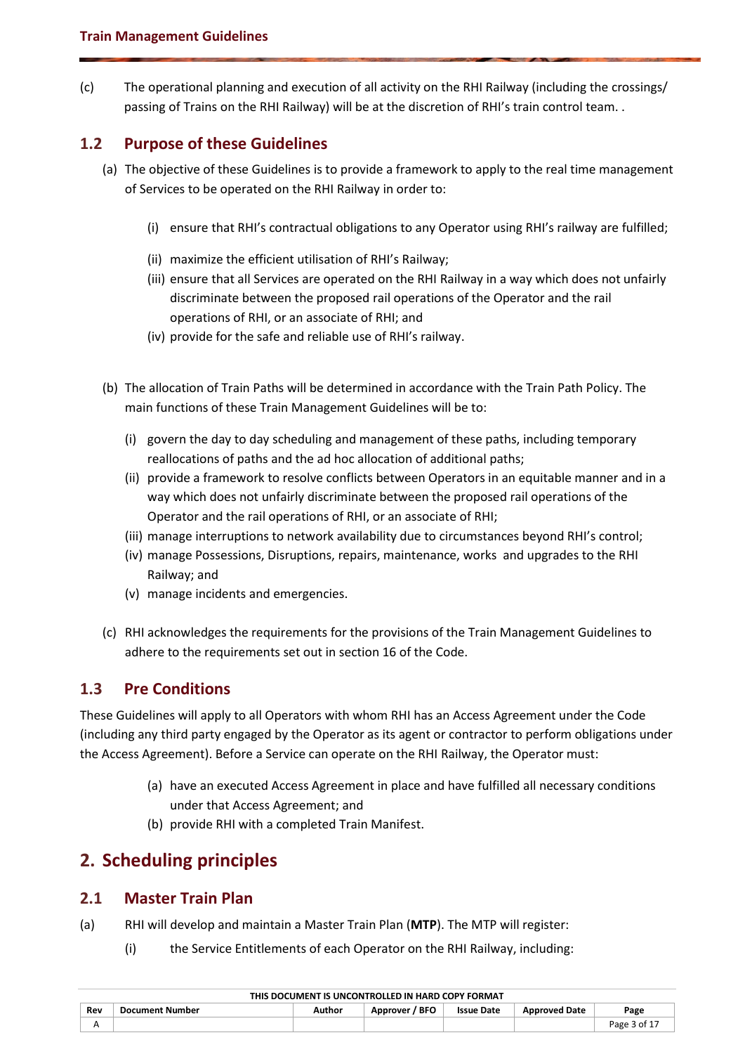(c) The operational planning and execution of all activity on the RHI Railway (including the crossings/ passing of Trains on the RHI Railway) will be at the discretion of RHI's train control team. .

# <span id="page-2-0"></span>**1.2 Purpose of these Guidelines**

- (a) The objective of these Guidelines is to provide a framework to apply to the real time management of Services to be operated on the RHI Railway in order to:
	- (i) ensure that RHI's contractual obligations to any Operator using RHI's railway are fulfilled;
	- (ii) maximize the efficient utilisation of RHI's Railway;
	- (iii) ensure that all Services are operated on the RHI Railway in a way which does not unfairly discriminate between the proposed rail operations of the Operator and the rail operations of RHI, or an associate of RHI; and
	- (iv) provide for the safe and reliable use of RHI's railway.
- (b) The allocation of Train Paths will be determined in accordance with the Train Path Policy. The main functions of these Train Management Guidelines will be to:
	- (i) govern the day to day scheduling and management of these paths, including temporary reallocations of paths and the ad hoc allocation of additional paths;
	- (ii) provide a framework to resolve conflicts between Operators in an equitable manner and in a way which does not unfairly discriminate between the proposed rail operations of the Operator and the rail operations of RHI, or an associate of RHI;
	- (iii) manage interruptions to network availability due to circumstances beyond RHI's control;
	- (iv) manage Possessions, Disruptions, repairs, maintenance, works and upgrades to the RHI Railway; and
	- (v) manage incidents and emergencies.
- (c) RHI acknowledges the requirements for the provisions of the Train Management Guidelines to adhere to the requirements set out in section 16 of the Code.

# <span id="page-2-1"></span>**1.3 Pre Conditions**

These Guidelines will apply to all Operators with whom RHI has an Access Agreement under the Code (including any third party engaged by the Operator as its agent or contractor to perform obligations under the Access Agreement). Before a Service can operate on the RHI Railway, the Operator must:

- (a) have an executed Access Agreement in place and have fulfilled all necessary conditions under that Access Agreement; and
- (b) provide RHI with a completed Train Manifest.

# <span id="page-2-2"></span>**2. Scheduling principles**

# <span id="page-2-3"></span>**2.1 Master Train Plan**

- (a) RHI will develop and maintain a Master Train Plan (**MTP**). The MTP will register:
	- (i) the Service Entitlements of each Operator on the RHI Railway, including:

|     | $\overline{11112}$ bocontent to ontcontributed in Hand collisioning t |        |                |                   |                      |              |  |  |  |  |  |
|-----|-----------------------------------------------------------------------|--------|----------------|-------------------|----------------------|--------------|--|--|--|--|--|
| Rev | <b>Document Number</b>                                                | Author | Approver / BFO | <b>Issue Date</b> | <b>Approved Date</b> | Page         |  |  |  |  |  |
|     |                                                                       |        |                |                   |                      | Page 3 of 17 |  |  |  |  |  |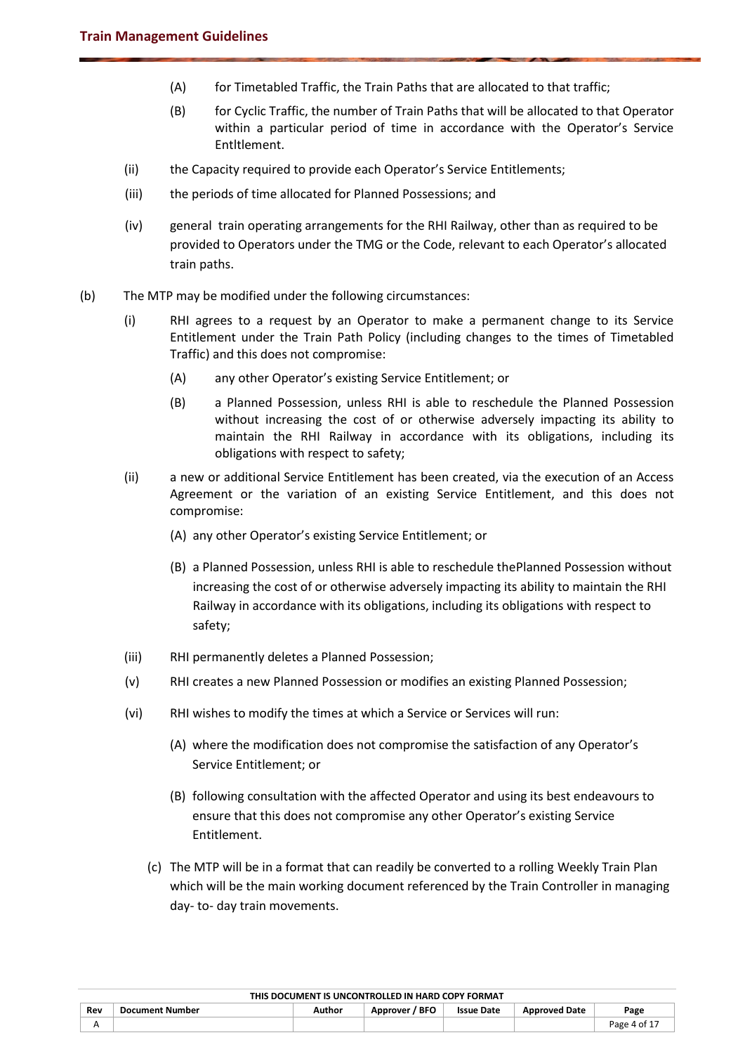- (A) for Timetabled Traffic, the Train Paths that are allocated to that traffic;
- (B) for Cyclic Traffic, the number of Train Paths that will be allocated to that Operator within a particular period of time in accordance with the Operator's Service Entltlement.
- (ii) the Capacity required to provide each Operator's Service Entitlements;
- (iii) the periods of time allocated for Planned Possessions; and
- (iv) general train operating arrangements for the RHI Railway, other than as required to be provided to Operators under the TMG or the Code, relevant to each Operator's allocated train paths.
- (b) The MTP may be modified under the following circumstances:
	- (i) RHI agrees to a request by an Operator to make a permanent change to its Service Entitlement under the Train Path Policy (including changes to the times of Timetabled Traffic) and this does not compromise:
		- (A) any other Operator's existing Service Entitlement; or
		- (B) a Planned Possession, unless RHI is able to reschedule the Planned Possession without increasing the cost of or otherwise adversely impacting its ability to maintain the RHI Railway in accordance with its obligations, including its obligations with respect to safety;
	- (ii) a new or additional Service Entitlement has been created, via the execution of an Access Agreement or the variation of an existing Service Entitlement, and this does not compromise:
		- (A) any other Operator's existing Service Entitlement; or
		- (B) a Planned Possession, unless RHI is able to reschedule thePlanned Possession without increasing the cost of or otherwise adversely impacting its ability to maintain the RHI Railway in accordance with its obligations, including its obligations with respect to safety;
	- (iii) RHI permanently deletes a Planned Possession;
	- (v) RHI creates a new Planned Possession or modifies an existing Planned Possession;
	- (vi) RHI wishes to modify the times at which a Service or Services will run:
		- (A) where the modification does not compromise the satisfaction of any Operator's Service Entitlement; or
		- (B) following consultation with the affected Operator and using its best endeavours to ensure that this does not compromise any other Operator's existing Service Entitlement.
		- (c) The MTP will be in a format that can readily be converted to a rolling Weekly Train Plan which will be the main working document referenced by the Train Controller in managing day- to- day train movements.

|     | THIS DOCUMENT IS UNCONTROLLED IN HARD COPY FORMAT |        |                |                   |                      |              |  |  |  |  |
|-----|---------------------------------------------------|--------|----------------|-------------------|----------------------|--------------|--|--|--|--|
| Rev | <b>Document Number</b>                            | Author | Approver / BFO | <b>Issue Date</b> | <b>Approved Date</b> | Page         |  |  |  |  |
|     |                                                   |        |                |                   |                      | Page 4 of 17 |  |  |  |  |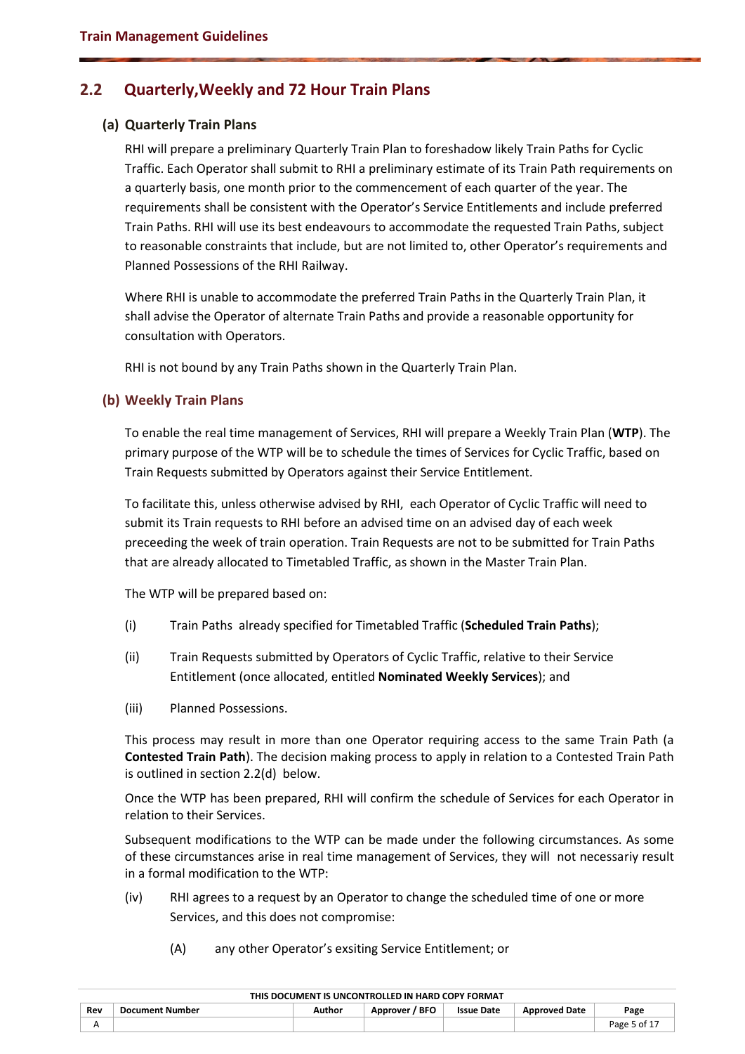## <span id="page-4-0"></span>**2.2 Quarterly,Weekly and 72 Hour Train Plans**

#### **(a) Quarterly Train Plans**

RHI will prepare a preliminary Quarterly Train Plan to foreshadow likely Train Paths for Cyclic Traffic. Each Operator shall submit to RHI a preliminary estimate of its Train Path requirements on a quarterly basis, one month prior to the commencement of each quarter of the year. The requirements shall be consistent with the Operator's Service Entitlements and include preferred Train Paths. RHI will use its best endeavours to accommodate the requested Train Paths, subject to reasonable constraints that include, but are not limited to, other Operator's requirements and Planned Possessions of the RHI Railway.

Where RHI is unable to accommodate the preferred Train Paths in the Quarterly Train Plan, it shall advise the Operator of alternate Train Paths and provide a reasonable opportunity for consultation with Operators.

RHI is not bound by any Train Paths shown in the Quarterly Train Plan.

#### **(b) Weekly Train Plans**

To enable the real time management of Services, RHI will prepare a Weekly Train Plan (**WTP**). The primary purpose of the WTP will be to schedule the times of Services for Cyclic Traffic, based on Train Requests submitted by Operators against their Service Entitlement.

To facilitate this, unless otherwise advised by RHI, each Operator of Cyclic Traffic will need to submit its Train requests to RHI before an advised time on an advised day of each week preceeding the week of train operation. Train Requests are not to be submitted for Train Paths that are already allocated to Timetabled Traffic, as shown in the Master Train Plan.

The WTP will be prepared based on:

- (i) Train Paths already specified for Timetabled Traffic (**Scheduled Train Paths**);
- (ii) Train Requests submitted by Operators of Cyclic Traffic, relative to their Service Entitlement (once allocated, entitled **Nominated Weekly Services**); and
- (iii) Planned Possessions.

This process may result in more than one Operator requiring access to the same Train Path (a **Contested Train Path**). The decision making process to apply in relation to a Contested Train Path is outlined in section 2.2(d) below.

Once the WTP has been prepared, RHI will confirm the schedule of Services for each Operator in relation to their Services.

Subsequent modifications to the WTP can be made under the following circumstances. As some of these circumstances arise in real time management of Services, they will not necessariy result in a formal modification to the WTP:

- (iv) RHI agrees to a request by an Operator to change the scheduled time of one or more Services, and this does not compromise:
	- (A) any other Operator's exsiting Service Entitlement; or

|     | ו הואווט טטט שווהו יום שבבשוויוטטוס טו וואבוסטטש טוווי |        |                |                   |                      |              |  |  |  |  |  |
|-----|--------------------------------------------------------|--------|----------------|-------------------|----------------------|--------------|--|--|--|--|--|
| Rev | Document Number                                        | Author | Approver / BFO | <b>Issue Date</b> | <b>Approved Date</b> | Page         |  |  |  |  |  |
|     |                                                        |        |                |                   |                      | Page 5 of 1, |  |  |  |  |  |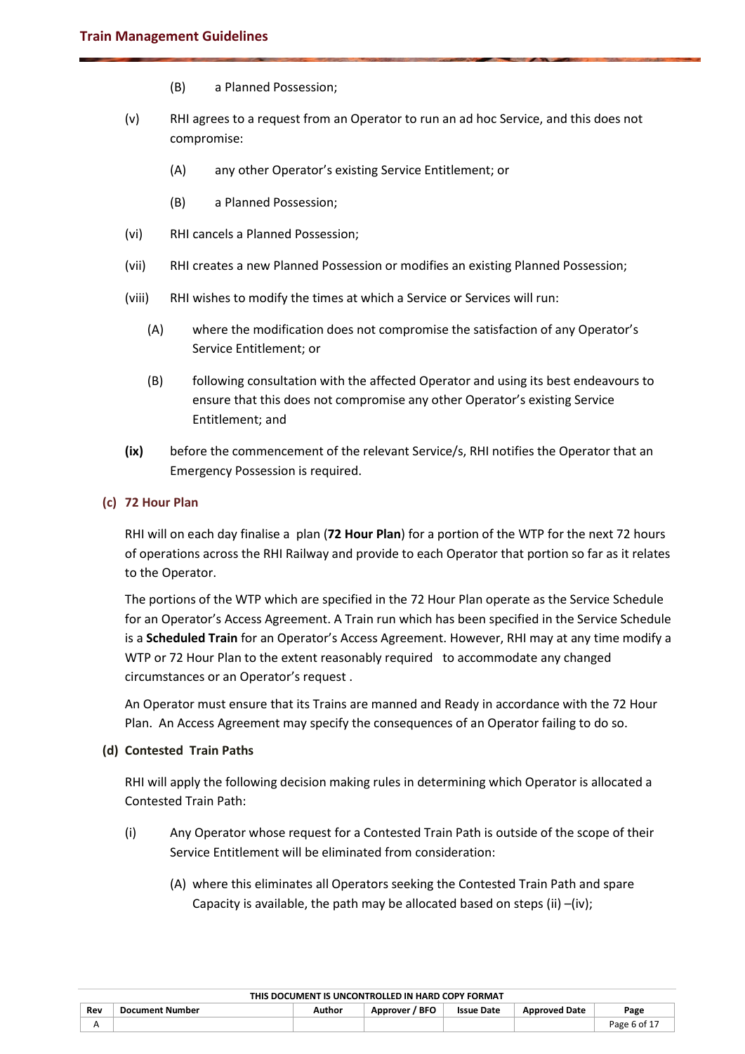- (B) a Planned Possession;
- (v) RHI agrees to a request from an Operator to run an ad hoc Service, and this does not compromise:
	- (A) any other Operator's existing Service Entitlement; or
	- (B) a Planned Possession;
- (vi) RHI cancels a Planned Possession;
- (vii) RHI creates a new Planned Possession or modifies an existing Planned Possession;
- (viii) RHI wishes to modify the times at which a Service or Services will run:
	- (A) where the modification does not compromise the satisfaction of any Operator's Service Entitlement; or
	- (B) following consultation with the affected Operator and using its best endeavours to ensure that this does not compromise any other Operator's existing Service Entitlement; and
- **(ix)** before the commencement of the relevant Service/s, RHI notifies the Operator that an Emergency Possession is required.

#### **(c) 72 Hour Plan**

RHI will on each day finalise a plan (**72 Hour Plan**) for a portion of the WTP for the next 72 hours of operations across the RHI Railway and provide to each Operator that portion so far as it relates to the Operator.

The portions of the WTP which are specified in the 72 Hour Plan operate as the Service Schedule for an Operator's Access Agreement. A Train run which has been specified in the Service Schedule is a **Scheduled Train** for an Operator's Access Agreement. However, RHI may at any time modify a WTP or 72 Hour Plan to the extent reasonably required to accommodate any changed circumstances or an Operator's request .

An Operator must ensure that its Trains are manned and Ready in accordance with the 72 Hour Plan. An Access Agreement may specify the consequences of an Operator failing to do so.

#### **(d) Contested Train Paths**

RHI will apply the following decision making rules in determining which Operator is allocated a Contested Train Path:

- (i) Any Operator whose request for a Contested Train Path is outside of the scope of their Service Entitlement will be eliminated from consideration:
	- (A) where this eliminates all Operators seeking the Contested Train Path and spare Capacity is available, the path may be allocated based on steps (ii) –(iv);

|     | THIS DOCUMENT IS UNCONTROLLED IN HARD COPY FORMAT |        |                |                   |                      |              |  |  |  |  |
|-----|---------------------------------------------------|--------|----------------|-------------------|----------------------|--------------|--|--|--|--|
| Rev | <b>Document Number</b>                            | Author | Approver / BFO | <b>Issue Date</b> | <b>Approved Date</b> | Page         |  |  |  |  |
|     |                                                   |        |                |                   |                      | Page 6 of 17 |  |  |  |  |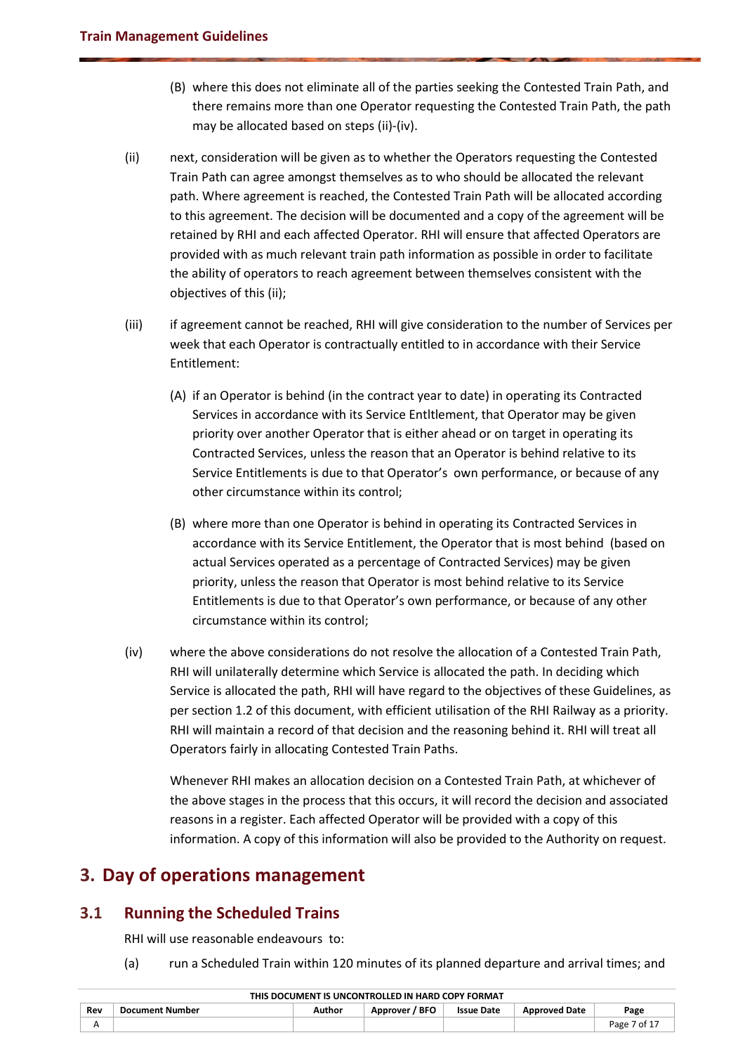- (B) where this does not eliminate all of the parties seeking the Contested Train Path, and there remains more than one Operator requesting the Contested Train Path, the path may be allocated based on steps (ii)-(iv).
- (ii) next, consideration will be given as to whether the Operators requesting the Contested Train Path can agree amongst themselves as to who should be allocated the relevant path. Where agreement is reached, the Contested Train Path will be allocated according to this agreement. The decision will be documented and a copy of the agreement will be retained by RHI and each affected Operator. RHI will ensure that affected Operators are provided with as much relevant train path information as possible in order to facilitate the ability of operators to reach agreement between themselves consistent with the objectives of this (ii);
- (iii) if agreement cannot be reached, RHI will give consideration to the number of Services per week that each Operator is contractually entitled to in accordance with their Service Entitlement:
	- (A) if an Operator is behind (in the contract year to date) in operating its Contracted Services in accordance with its Service Entltlement, that Operator may be given priority over another Operator that is either ahead or on target in operating its Contracted Services, unless the reason that an Operator is behind relative to its Service Entitlements is due to that Operator's own performance, or because of any other circumstance within its control;
	- (B) where more than one Operator is behind in operating its Contracted Services in accordance with its Service Entitlement, the Operator that is most behind (based on actual Services operated as a percentage of Contracted Services) may be given priority, unless the reason that Operator is most behind relative to its Service Entitlements is due to that Operator's own performance, or because of any other circumstance within its control;
- (iv) where the above considerations do not resolve the allocation of a Contested Train Path, RHI will unilaterally determine which Service is allocated the path. In deciding which Service is allocated the path, RHI will have regard to the objectives of these Guidelines, as per section 1.2 of this document, with efficient utilisation of the RHI Railway as a priority. RHI will maintain a record of that decision and the reasoning behind it. RHI will treat all Operators fairly in allocating Contested Train Paths.

Whenever RHI makes an allocation decision on a Contested Train Path, at whichever of the above stages in the process that this occurs, it will record the decision and associated reasons in a register. Each affected Operator will be provided with a copy of this information. A copy of this information will also be provided to the Authority on request.

# <span id="page-6-0"></span>**3. Day of operations management**

# <span id="page-6-1"></span>**3.1 Running the Scheduled Trains**

RHI will use reasonable endeavours to:

(a) run a Scheduled Train within 120 minutes of its planned departure and arrival times; and

| Rev      | Document Number | Author | <b>BFO</b><br>Approver | <b>Issue Date</b> | <b>Approved Date</b> | Page       |
|----------|-----------------|--------|------------------------|-------------------|----------------------|------------|
| $\cdots$ |                 |        |                        |                   |                      | ot.<br>age |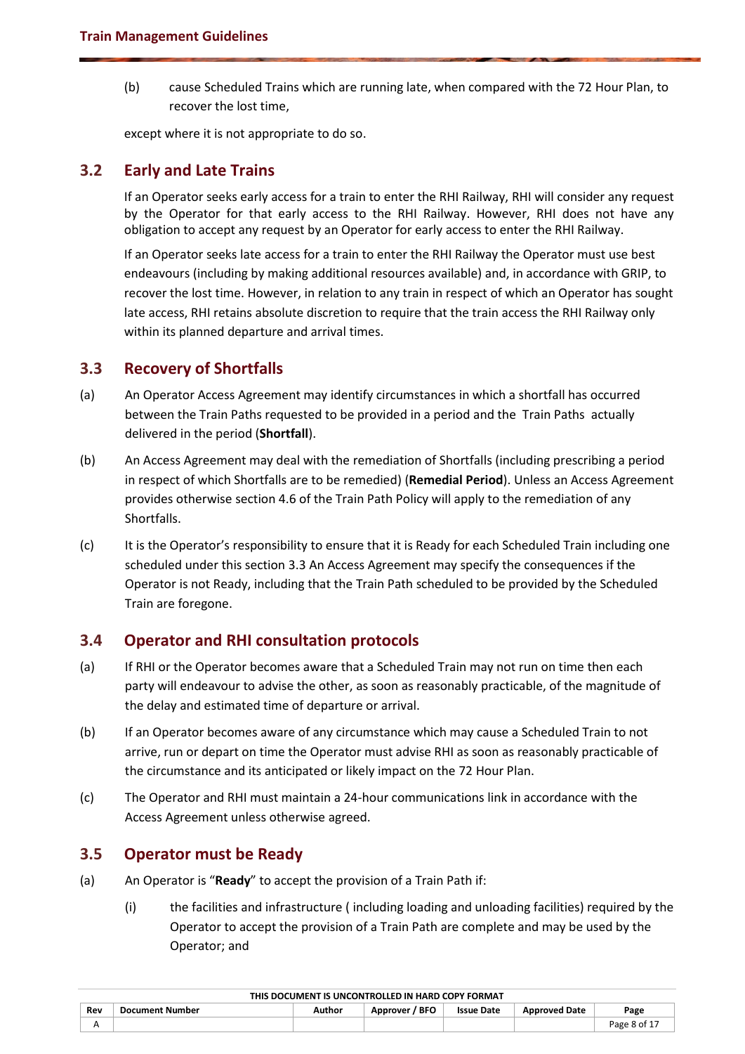(b) cause Scheduled Trains which are running late, when compared with the 72 Hour Plan, to recover the lost time,

except where it is not appropriate to do so.

## <span id="page-7-0"></span>**3.2 Early and Late Trains**

If an Operator seeks early access for a train to enter the RHI Railway, RHI will consider any request by the Operator for that early access to the RHI Railway. However, RHI does not have any obligation to accept any request by an Operator for early access to enter the RHI Railway.

If an Operator seeks late access for a train to enter the RHI Railway the Operator must use best endeavours (including by making additional resources available) and, in accordance with GRIP, to recover the lost time. However, in relation to any train in respect of which an Operator has sought late access, RHI retains absolute discretion to require that the train access the RHI Railway only within its planned departure and arrival times.

## <span id="page-7-1"></span>**3.3 Recovery of Shortfalls**

- (a) An Operator Access Agreement may identify circumstances in which a shortfall has occurred between the Train Paths requested to be provided in a period and the Train Paths actually delivered in the period (**Shortfall**).
- (b) An Access Agreement may deal with the remediation of Shortfalls (including prescribing a period in respect of which Shortfalls are to be remedied) (**Remedial Period**). Unless an Access Agreement provides otherwise section 4.6 of the Train Path Policy will apply to the remediation of any Shortfalls.
- (c) It is the Operator's responsibility to ensure that it is Ready for each Scheduled Train including one scheduled under this sectio[n 3.3](#page-7-1) An Access Agreement may specify the consequences if the Operator is not Ready, including that the Train Path scheduled to be provided by the Scheduled Train are foregone.

## <span id="page-7-2"></span>**3.4 Operator and RHI consultation protocols**

- (a) If RHI or the Operator becomes aware that a Scheduled Train may not run on time then each party will endeavour to advise the other, as soon as reasonably practicable, of the magnitude of the delay and estimated time of departure or arrival.
- (b) If an Operator becomes aware of any circumstance which may cause a Scheduled Train to not arrive, run or depart on time the Operator must advise RHI as soon as reasonably practicable of the circumstance and its anticipated or likely impact on the 72 Hour Plan.
- (c) The Operator and RHI must maintain a 24-hour communications link in accordance with the Access Agreement unless otherwise agreed.

## <span id="page-7-3"></span>**3.5 Operator must be Ready**

- (a) An Operator is "**Ready**" to accept the provision of a Train Path if:
	- (i) the facilities and infrastructure ( including loading and unloading facilities) required by the Operator to accept the provision of a Train Path are complete and may be used by the Operator; and

|     | THIS DOCUMENT IS UNCONTRULLED IN HARD COPY FORMAT |        |                |                   |                      |             |  |  |  |  |  |
|-----|---------------------------------------------------|--------|----------------|-------------------|----------------------|-------------|--|--|--|--|--|
| Rev | <b>Document Number</b>                            | Author | Approver / BFO | <b>Issue Date</b> | <b>Approved Date</b> | Page        |  |  |  |  |  |
|     |                                                   |        |                |                   |                      | Page 8 of 1 |  |  |  |  |  |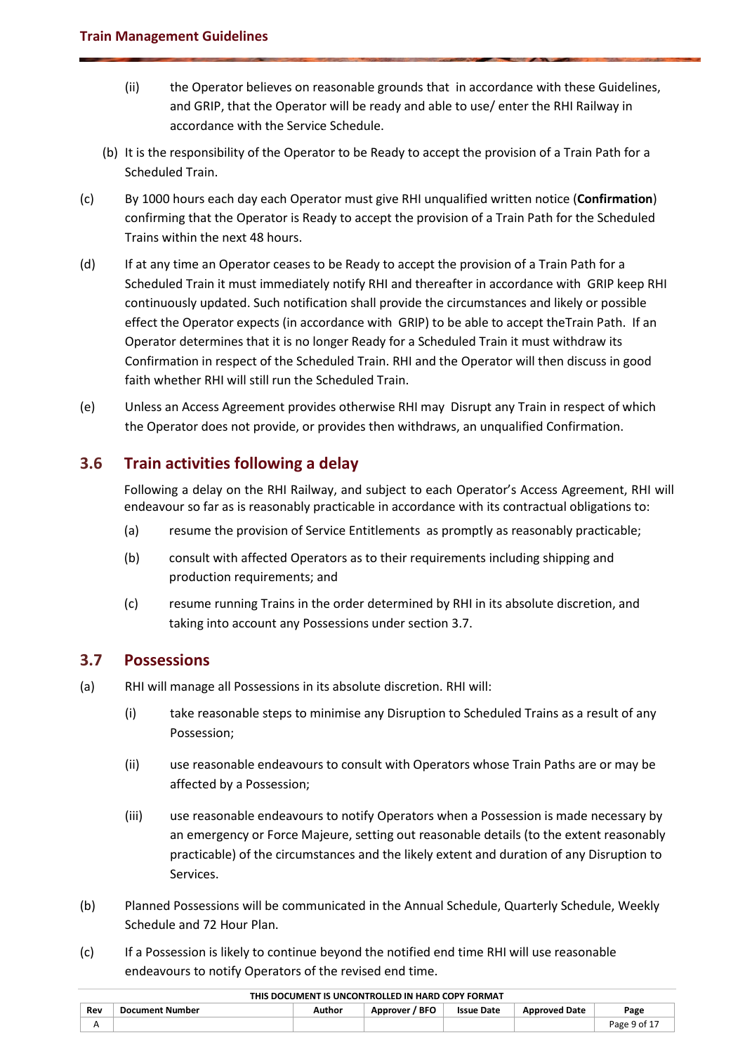- (ii) the Operator believes on reasonable grounds that in accordance with these Guidelines, and GRIP, that the Operator will be ready and able to use/ enter the RHI Railway in accordance with the Service Schedule.
- (b) It is the responsibility of the Operator to be Ready to accept the provision of a Train Path for a Scheduled Train.
- (c) By 1000 hours each day each Operator must give RHI unqualified written notice (**Confirmation**) confirming that the Operator is Ready to accept the provision of a Train Path for the Scheduled Trains within the next 48 hours.
- (d) If at any time an Operator ceases to be Ready to accept the provision of a Train Path for a Scheduled Train it must immediately notify RHI and thereafter in accordance with GRIP keep RHI continuously updated. Such notification shall provide the circumstances and likely or possible effect the Operator expects (in accordance with GRIP) to be able to accept theTrain Path. If an Operator determines that it is no longer Ready for a Scheduled Train it must withdraw its Confirmation in respect of the Scheduled Train. RHI and the Operator will then discuss in good faith whether RHI will still run the Scheduled Train.
- (e) Unless an Access Agreement provides otherwise RHI may Disrupt any Train in respect of which the Operator does not provide, or provides then withdraws, an unqualified Confirmation.

# <span id="page-8-0"></span>**3.6 Train activities following a delay**

Following a delay on the RHI Railway, and subject to each Operator's Access Agreement, RHI will endeavour so far as is reasonably practicable in accordance with its contractual obligations to:

- (a) resume the provision of Service Entitlements as promptly as reasonably practicable;
- (b) consult with affected Operators as to their requirements including shipping and production requirements; and
- (c) resume running Trains in the order determined by RHI in its absolute discretion, and taking into account any Possessions under section [3.7.](#page-8-1)

# <span id="page-8-1"></span>**3.7 Possessions**

- (a) RHI will manage all Possessions in its absolute discretion. RHI will:
	- (i) take reasonable steps to minimise any Disruption to Scheduled Trains as a result of any Possession;
	- (ii) use reasonable endeavours to consult with Operators whose Train Paths are or may be affected by a Possession;
	- (iii) use reasonable endeavours to notify Operators when a Possession is made necessary by an emergency or Force Majeure, setting out reasonable details (to the extent reasonably practicable) of the circumstances and the likely extent and duration of any Disruption to Services.
- (b) Planned Possessions will be communicated in the Annual Schedule, Quarterly Schedule, Weekly Schedule and 72 Hour Plan.
- (c) If a Possession is likely to continue beyond the notified end time RHI will use reasonable endeavours to notify Operators of the revised end time.

| Rev        | Document Number | Author | <b>BFO</b><br>Approver | <b>Issue Date</b> | <b>Approved Date</b> | Page         |
|------------|-----------------|--------|------------------------|-------------------|----------------------|--------------|
| $\sqrt{ }$ |                 |        |                        |                   |                      | Page 9 of 1. |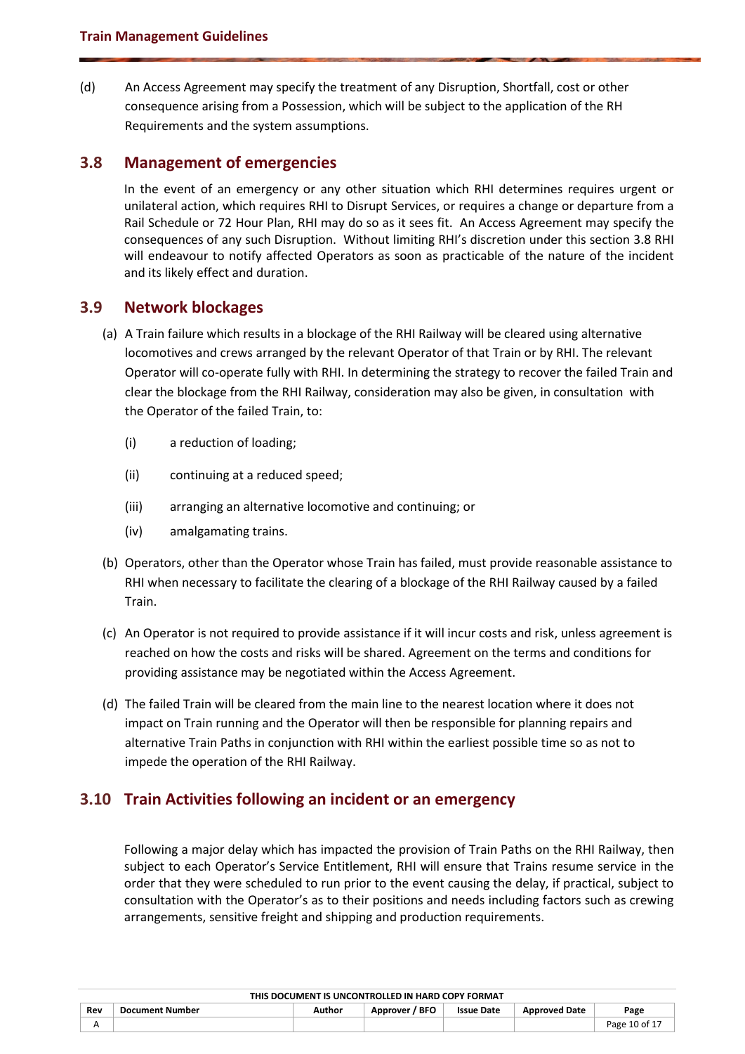(d) An Access Agreement may specify the treatment of any Disruption, Shortfall, cost or other consequence arising from a Possession, which will be subject to the application of the RH Requirements and the system assumptions.

#### <span id="page-9-0"></span>**3.8 Management of emergencies**

In the event of an emergency or any other situation which RHI determines requires urgent or unilateral action, which requires RHI to Disrupt Services, or requires a change or departure from a Rail Schedule or 72 Hour Plan, RHI may do so as it sees fit. An Access Agreement may specify the consequences of any such Disruption. Without limiting RHI's discretion under this section [3.8](#page-9-0) RHI will endeavour to notify affected Operators as soon as practicable of the nature of the incident and its likely effect and duration.

#### <span id="page-9-1"></span>**3.9 Network blockages**

- (a) A Train failure which results in a blockage of the RHI Railway will be cleared using alternative locomotives and crews arranged by the relevant Operator of that Train or by RHI. The relevant Operator will co-operate fully with RHI. In determining the strategy to recover the failed Train and clear the blockage from the RHI Railway, consideration may also be given, in consultation with the Operator of the failed Train, to:
	- (i) a reduction of loading;
	- (ii) continuing at a reduced speed;
	- (iii) arranging an alternative locomotive and continuing; or
	- (iv) amalgamating trains.
- (b) Operators, other than the Operator whose Train has failed, must provide reasonable assistance to RHI when necessary to facilitate the clearing of a blockage of the RHI Railway caused by a failed Train.
- (c) An Operator is not required to provide assistance if it will incur costs and risk, unless agreement is reached on how the costs and risks will be shared. Agreement on the terms and conditions for providing assistance may be negotiated within the Access Agreement.
- (d) The failed Train will be cleared from the main line to the nearest location where it does not impact on Train running and the Operator will then be responsible for planning repairs and alternative Train Paths in conjunction with RHI within the earliest possible time so as not to impede the operation of the RHI Railway.

## <span id="page-9-2"></span>**3.10 Train Activities following an incident or an emergency**

Following a major delay which has impacted the provision of Train Paths on the RHI Railway, then subject to each Operator's Service Entitlement, RHI will ensure that Trains resume service in the order that they were scheduled to run prior to the event causing the delay, if practical, subject to consultation with the Operator's as to their positions and needs including factors such as crewing arrangements, sensitive freight and shipping and production requirements.

| THIS DOCUMENT IS UNCONTROLLED IN HARD COPY FORMAT |                 |        |                |                   |                      |               |
|---------------------------------------------------|-----------------|--------|----------------|-------------------|----------------------|---------------|
| Rev                                               | Document Number | Author | Approver / BFO | <b>Issue Date</b> | <b>Approved Date</b> | Page          |
|                                                   |                 |        |                |                   |                      | Page 10 of 17 |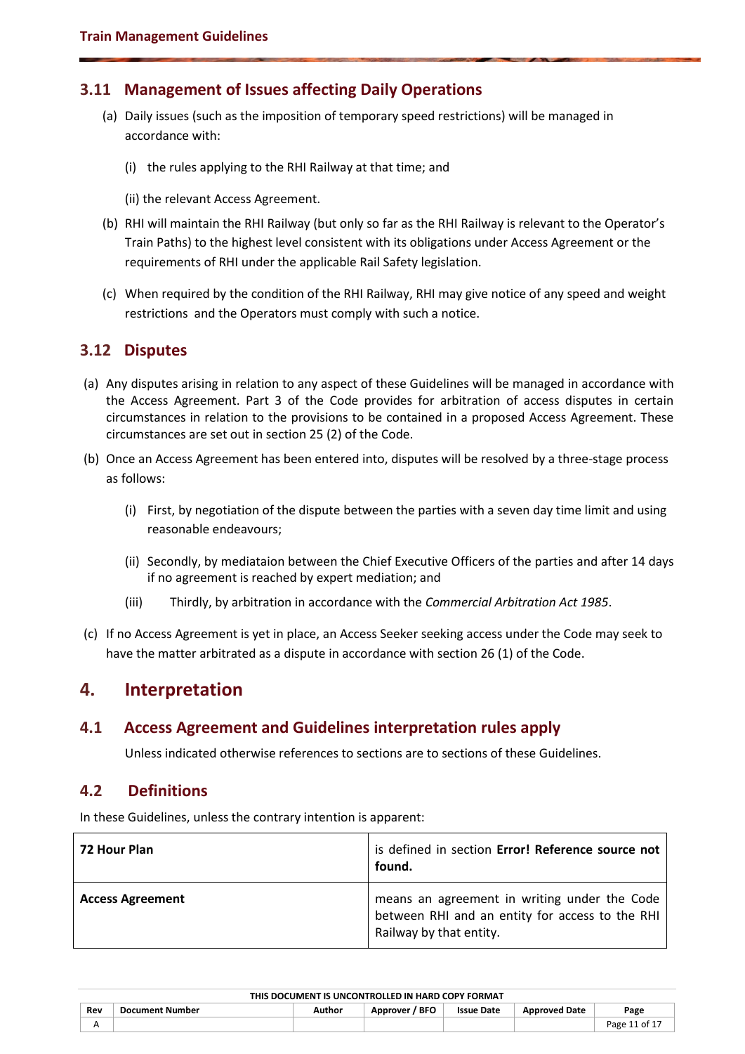## <span id="page-10-0"></span>**3.11 Management of Issues affecting Daily Operations**

- (a) Daily issues (such as the imposition of temporary speed restrictions) will be managed in accordance with:
	- (i) the rules applying to the RHI Railway at that time; and
	- (ii) the relevant Access Agreement.
- (b) RHI will maintain the RHI Railway (but only so far as the RHI Railway is relevant to the Operator's Train Paths) to the highest level consistent with its obligations under Access Agreement or the requirements of RHI under the applicable Rail Safety legislation.
- (c) When required by the condition of the RHI Railway, RHI may give notice of any speed and weight restrictions and the Operators must comply with such a notice.

#### <span id="page-10-1"></span>**3.12 Disputes**

- (a) Any disputes arising in relation to any aspect of these Guidelines will be managed in accordance with the Access Agreement. Part 3 of the Code provides for arbitration of access disputes in certain circumstances in relation to the provisions to be contained in a proposed Access Agreement. These circumstances are set out in section 25 (2) of the Code.
- (b) Once an Access Agreement has been entered into, disputes will be resolved by a three-stage process as follows:
	- (i) First, by negotiation of the dispute between the parties with a seven day time limit and using reasonable endeavours;
	- (ii) Secondly, by mediataion between the Chief Executive Officers of the parties and after 14 days if no agreement is reached by expert mediation; and
	- (iii) Thirdly, by arbitration in accordance with the *Commercial Arbitration Act 1985*.
- (c) If no Access Agreement is yet in place, an Access Seeker seeking access under the Code may seek to have the matter arbitrated as a dispute in accordance with section 26 (1) of the Code.

# <span id="page-10-2"></span>**4. Interpretation**

## <span id="page-10-3"></span>**4.1 Access Agreement and Guidelines interpretation rules apply**

<span id="page-10-4"></span>Unless indicated otherwise references to sections are to sections of these Guidelines.

#### **4.2 Definitions**

In these Guidelines, unless the contrary intention is apparent:

| 72 Hour Plan            | is defined in section Error! Reference source not<br>found.                                                                |
|-------------------------|----------------------------------------------------------------------------------------------------------------------------|
| <b>Access Agreement</b> | means an agreement in writing under the Code<br>between RHI and an entity for access to the RHI<br>Railway by that entity. |

| THIS DOCUMENT IS UNCONTROLLED IN HARD COPY FORMAT |                 |        |                |                   |                      |              |
|---------------------------------------------------|-----------------|--------|----------------|-------------------|----------------------|--------------|
| Rev                                               | Document Number | Author | Approver / BFO | <b>Issue Date</b> | <b>Approved Date</b> | Page         |
|                                                   |                 |        |                |                   |                      | Page 11 of 1 |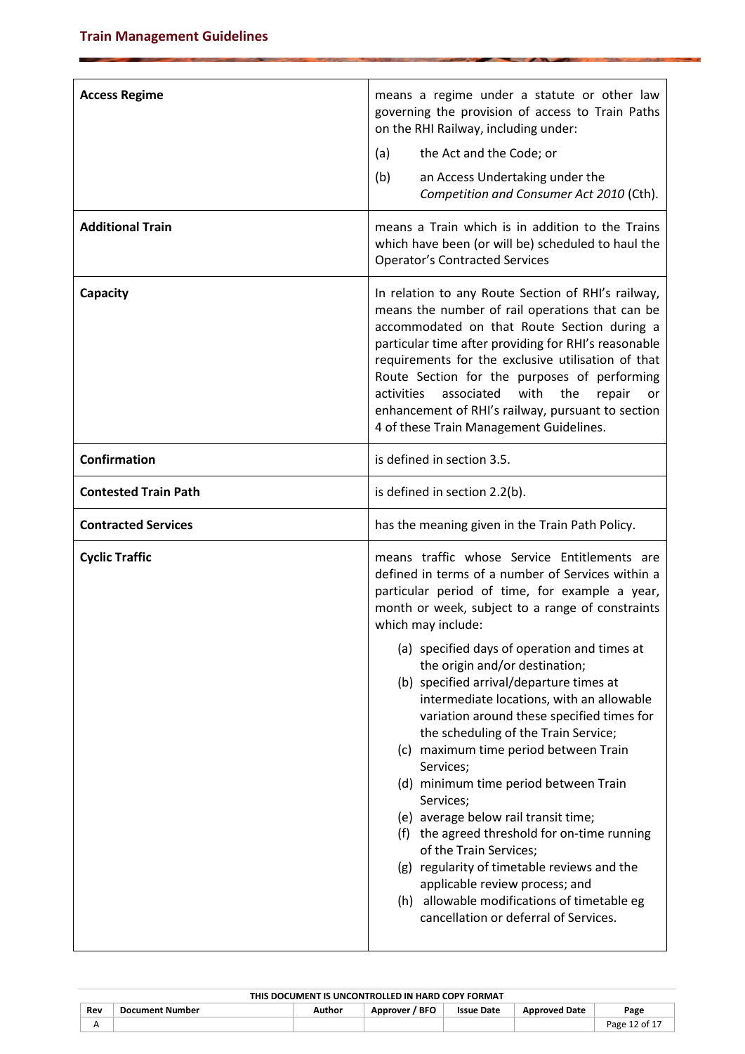| <b>Access Regime</b>        | means a regime under a statute or other law<br>governing the provision of access to Train Paths<br>on the RHI Railway, including under:<br>the Act and the Code; or<br>(a)<br>(b)<br>an Access Undertaking under the<br>Competition and Consumer Act 2010 (Cth).                                                                                                                                                                                                                                                                                                                                                                                                                                                                                                                                                                                                                                      |
|-----------------------------|-------------------------------------------------------------------------------------------------------------------------------------------------------------------------------------------------------------------------------------------------------------------------------------------------------------------------------------------------------------------------------------------------------------------------------------------------------------------------------------------------------------------------------------------------------------------------------------------------------------------------------------------------------------------------------------------------------------------------------------------------------------------------------------------------------------------------------------------------------------------------------------------------------|
| <b>Additional Train</b>     | means a Train which is in addition to the Trains<br>which have been (or will be) scheduled to haul the<br><b>Operator's Contracted Services</b>                                                                                                                                                                                                                                                                                                                                                                                                                                                                                                                                                                                                                                                                                                                                                       |
| Capacity                    | In relation to any Route Section of RHI's railway,<br>means the number of rail operations that can be<br>accommodated on that Route Section during a<br>particular time after providing for RHI's reasonable<br>requirements for the exclusive utilisation of that<br>Route Section for the purposes of performing<br>activities<br>associated<br>with<br>the<br>repair<br>or<br>enhancement of RHI's railway, pursuant to section<br>4 of these Train Management Guidelines.                                                                                                                                                                                                                                                                                                                                                                                                                         |
| <b>Confirmation</b>         | is defined in section 3.5.                                                                                                                                                                                                                                                                                                                                                                                                                                                                                                                                                                                                                                                                                                                                                                                                                                                                            |
| <b>Contested Train Path</b> | is defined in section 2.2(b).                                                                                                                                                                                                                                                                                                                                                                                                                                                                                                                                                                                                                                                                                                                                                                                                                                                                         |
| <b>Contracted Services</b>  | has the meaning given in the Train Path Policy.                                                                                                                                                                                                                                                                                                                                                                                                                                                                                                                                                                                                                                                                                                                                                                                                                                                       |
| <b>Cyclic Traffic</b>       | means traffic whose Service Entitlements are<br>defined in terms of a number of Services within a<br>particular period of time, for example a year,<br>month or week, subject to a range of constraints<br>which may include:<br>(a) specified days of operation and times at<br>the origin and/or destination;<br>(b) specified arrival/departure times at<br>intermediate locations, with an allowable<br>variation around these specified times for<br>the scheduling of the Train Service;<br>(c) maximum time period between Train<br>Services;<br>(d) minimum time period between Train<br>Services;<br>(e) average below rail transit time;<br>(f) the agreed threshold for on-time running<br>of the Train Services;<br>(g) regularity of timetable reviews and the<br>applicable review process; and<br>(h) allowable modifications of timetable eg<br>cancellation or deferral of Services. |

| THIS DOCUMENT IS UNCONTROLLED IN HARD COPY FORMAT |                        |        |                   |                   |                      |                           |
|---------------------------------------------------|------------------------|--------|-------------------|-------------------|----------------------|---------------------------|
| Rev                                               | <b>Document Number</b> | Author | / BFO<br>Approver | <b>Issue Date</b> | <b>Approved Date</b> | Page                      |
|                                                   |                        |        |                   |                   |                      | Page 12 of 1 <sup>-</sup> |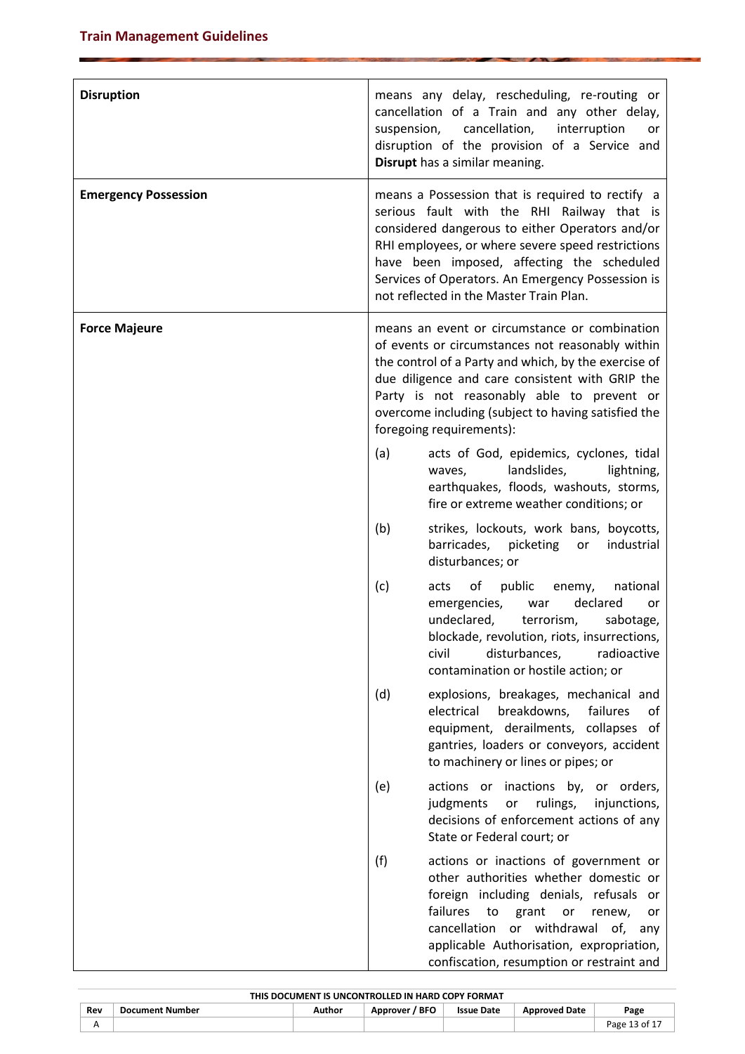| <b>Disruption</b>           |     | means any delay, rescheduling, re-routing or<br>cancellation of a Train and any other delay,<br>suspension, cancellation,<br>interruption<br>or<br>disruption of the provision of a Service and<br>Disrupt has a similar meaning.                                                                                                                    |
|-----------------------------|-----|------------------------------------------------------------------------------------------------------------------------------------------------------------------------------------------------------------------------------------------------------------------------------------------------------------------------------------------------------|
| <b>Emergency Possession</b> |     | means a Possession that is required to rectify a<br>serious fault with the RHI Railway that is<br>considered dangerous to either Operators and/or<br>RHI employees, or where severe speed restrictions<br>have been imposed, affecting the scheduled<br>Services of Operators. An Emergency Possession is<br>not reflected in the Master Train Plan. |
| <b>Force Majeure</b>        |     | means an event or circumstance or combination<br>of events or circumstances not reasonably within<br>the control of a Party and which, by the exercise of<br>due diligence and care consistent with GRIP the<br>Party is not reasonably able to prevent or<br>overcome including (subject to having satisfied the<br>foregoing requirements):        |
|                             | (a) | acts of God, epidemics, cyclones, tidal<br>landslides,<br>lightning,<br>waves,<br>earthquakes, floods, washouts, storms,<br>fire or extreme weather conditions; or                                                                                                                                                                                   |
|                             | (b) | strikes, lockouts, work bans, boycotts,<br>barricades,<br>picketing<br>industrial<br>or<br>disturbances; or                                                                                                                                                                                                                                          |
|                             | (c) | of<br>public<br>enemy,<br>national<br>acts<br>declared<br>emergencies,<br>war<br>or<br>undeclared,<br>terrorism,<br>sabotage,<br>blockade, revolution, riots, insurrections,<br>disturbances,<br>civil<br>radioactive<br>contamination or hostile action; or                                                                                         |
|                             | (d) | explosions, breakages, mechanical and<br>breakdowns,<br>failures<br>electrical<br>of<br>equipment, derailments, collapses of<br>gantries, loaders or conveyors, accident<br>to machinery or lines or pipes; or                                                                                                                                       |
|                             | (e) | actions or inactions by, or orders,<br>rulings,<br>judgments<br>or<br>injunctions,<br>decisions of enforcement actions of any<br>State or Federal court; or                                                                                                                                                                                          |
|                             | (f) | actions or inactions of government or<br>other authorities whether domestic or<br>foreign including denials, refusals or<br>failures<br>grant<br>to<br>or<br>renew,<br>or<br>cancellation<br>or withdrawal of,<br>any<br>applicable Authorisation, expropriation,<br>confiscation, resumption or restraint and                                       |

| THIS DOCUMENT IS UNCONTROLLED IN HARD COPY FORMAT |                        |        |                |                   |                      |               |
|---------------------------------------------------|------------------------|--------|----------------|-------------------|----------------------|---------------|
| Rev                                               | <b>Document Number</b> | Author | Approver / BFO | <b>Issue Date</b> | <b>Approved Date</b> | Page          |
| А                                                 |                        |        |                |                   |                      | Page 13 of 17 |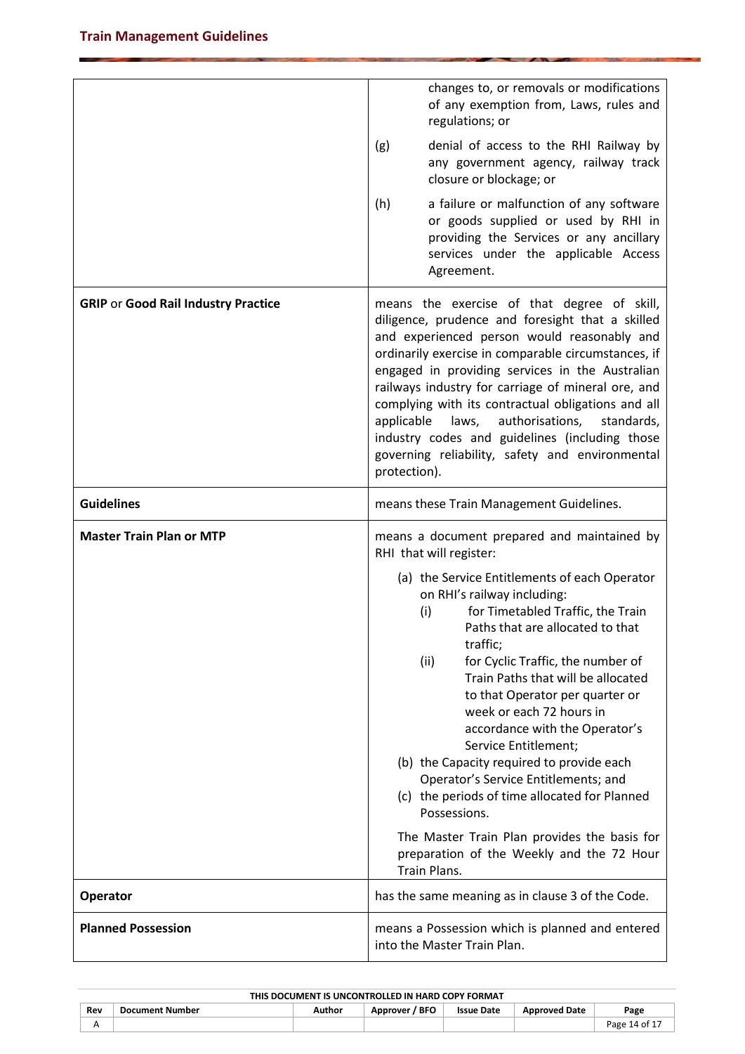|                                            | changes to, or removals or modifications                                                                                                                                                                                                                                                                                                                                                                                                                                                                                                                                                                                                                |
|--------------------------------------------|---------------------------------------------------------------------------------------------------------------------------------------------------------------------------------------------------------------------------------------------------------------------------------------------------------------------------------------------------------------------------------------------------------------------------------------------------------------------------------------------------------------------------------------------------------------------------------------------------------------------------------------------------------|
|                                            | of any exemption from, Laws, rules and<br>regulations; or                                                                                                                                                                                                                                                                                                                                                                                                                                                                                                                                                                                               |
|                                            | (g)<br>denial of access to the RHI Railway by<br>any government agency, railway track<br>closure or blockage; or                                                                                                                                                                                                                                                                                                                                                                                                                                                                                                                                        |
|                                            | (h)<br>a failure or malfunction of any software<br>or goods supplied or used by RHI in<br>providing the Services or any ancillary<br>services under the applicable Access<br>Agreement.                                                                                                                                                                                                                                                                                                                                                                                                                                                                 |
| <b>GRIP or Good Rail Industry Practice</b> | means the exercise of that degree of skill,<br>diligence, prudence and foresight that a skilled<br>and experienced person would reasonably and<br>ordinarily exercise in comparable circumstances, if<br>engaged in providing services in the Australian<br>railways industry for carriage of mineral ore, and<br>complying with its contractual obligations and all<br>applicable<br>authorisations, standards,<br>laws,<br>industry codes and guidelines (including those<br>governing reliability, safety and environmental<br>protection).                                                                                                          |
| <b>Guidelines</b>                          | means these Train Management Guidelines.                                                                                                                                                                                                                                                                                                                                                                                                                                                                                                                                                                                                                |
| <b>Master Train Plan or MTP</b>            | means a document prepared and maintained by<br>RHI that will register:                                                                                                                                                                                                                                                                                                                                                                                                                                                                                                                                                                                  |
|                                            | (a) the Service Entitlements of each Operator<br>on RHI's railway including:<br>for Timetabled Traffic, the Train<br>(i)<br>Paths that are allocated to that<br>traffic;<br>(ii)<br>for Cyclic Traffic, the number of<br>Train Paths that will be allocated<br>to that Operator per quarter or<br>week or each 72 hours in<br>accordance with the Operator's<br>Service Entitlement;<br>(b) the Capacity required to provide each<br>Operator's Service Entitlements; and<br>(c) the periods of time allocated for Planned<br>Possessions.<br>The Master Train Plan provides the basis for<br>preparation of the Weekly and the 72 Hour<br>Train Plans. |
| <b>Operator</b>                            | has the same meaning as in clause 3 of the Code.                                                                                                                                                                                                                                                                                                                                                                                                                                                                                                                                                                                                        |
| <b>Planned Possession</b>                  | means a Possession which is planned and entered<br>into the Master Train Plan.                                                                                                                                                                                                                                                                                                                                                                                                                                                                                                                                                                          |

| THIS DOCUMENT IS UNCONTROLLED IN HARD COPY FORMAT |                        |        |                |                   |                      |               |
|---------------------------------------------------|------------------------|--------|----------------|-------------------|----------------------|---------------|
| Rev                                               | <b>Document Number</b> | Author | Approver / BFO | <b>Issue Date</b> | <b>Approved Date</b> | Page          |
|                                                   |                        |        |                |                   |                      | Page 14 of 17 |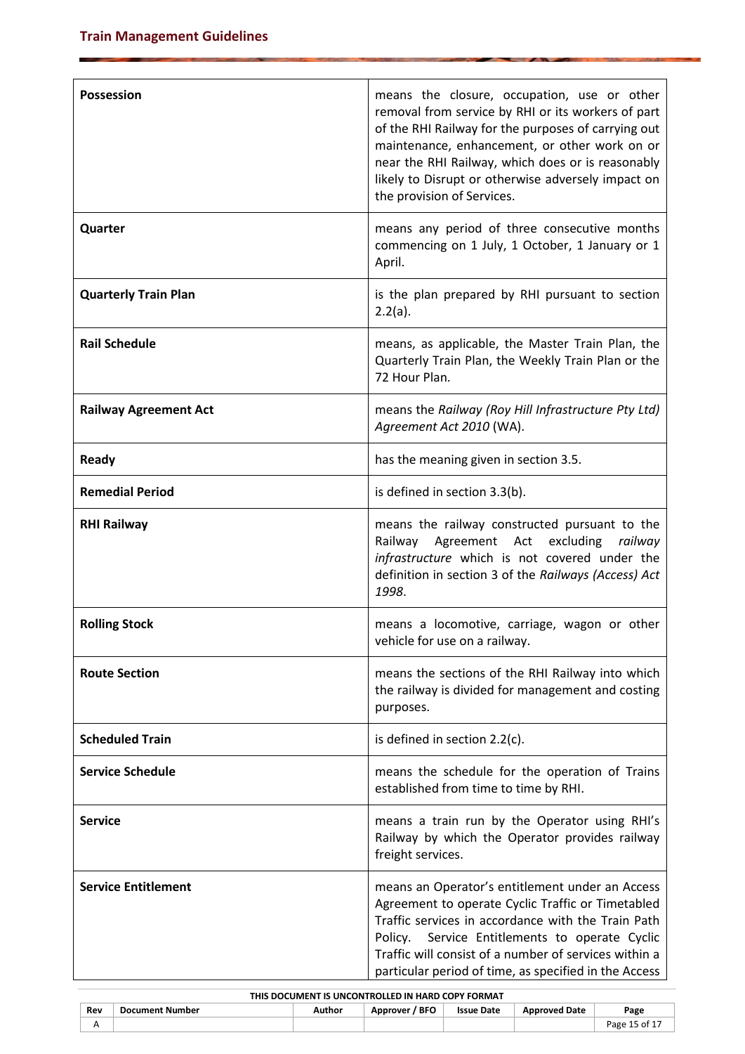| <b>Possession</b>            | means the closure, occupation, use or other<br>removal from service by RHI or its workers of part<br>of the RHI Railway for the purposes of carrying out<br>maintenance, enhancement, or other work on or<br>near the RHI Railway, which does or is reasonably<br>likely to Disrupt or otherwise adversely impact on<br>the provision of Services. |
|------------------------------|----------------------------------------------------------------------------------------------------------------------------------------------------------------------------------------------------------------------------------------------------------------------------------------------------------------------------------------------------|
| Quarter                      | means any period of three consecutive months<br>commencing on 1 July, 1 October, 1 January or 1<br>April.                                                                                                                                                                                                                                          |
| <b>Quarterly Train Plan</b>  | is the plan prepared by RHI pursuant to section<br>2.2(a).                                                                                                                                                                                                                                                                                         |
| <b>Rail Schedule</b>         | means, as applicable, the Master Train Plan, the<br>Quarterly Train Plan, the Weekly Train Plan or the<br>72 Hour Plan.                                                                                                                                                                                                                            |
| <b>Railway Agreement Act</b> | means the Railway (Roy Hill Infrastructure Pty Ltd)<br>Agreement Act 2010 (WA).                                                                                                                                                                                                                                                                    |
| <b>Ready</b>                 | has the meaning given in section 3.5.                                                                                                                                                                                                                                                                                                              |
| <b>Remedial Period</b>       | is defined in section 3.3(b).                                                                                                                                                                                                                                                                                                                      |
| <b>RHI Railway</b>           | means the railway constructed pursuant to the<br>Railway Agreement Act excluding railway<br>infrastructure which is not covered under the<br>definition in section 3 of the Railways (Access) Act<br>1998.                                                                                                                                         |
| <b>Rolling Stock</b>         | means a locomotive, carriage, wagon or other<br>vehicle for use on a railway.                                                                                                                                                                                                                                                                      |
| <b>Route Section</b>         | means the sections of the RHI Railway into which<br>the railway is divided for management and costing<br>purposes.                                                                                                                                                                                                                                 |
| <b>Scheduled Train</b>       | is defined in section $2.2(c)$ .                                                                                                                                                                                                                                                                                                                   |
| <b>Service Schedule</b>      | means the schedule for the operation of Trains<br>established from time to time by RHI.                                                                                                                                                                                                                                                            |
| <b>Service</b>               | means a train run by the Operator using RHI's<br>Railway by which the Operator provides railway<br>freight services.                                                                                                                                                                                                                               |
| <b>Service Entitlement</b>   | means an Operator's entitlement under an Access<br>Agreement to operate Cyclic Traffic or Timetabled<br>Traffic services in accordance with the Train Path<br>Service Entitlements to operate Cyclic<br>Policy.<br>Traffic will consist of a number of services within a<br>particular period of time, as specified in the Access                  |

| THIS DOCUMENT IS UNCONTROLLED IN HARD COPY FORMAT |                        |        |                |                   |                      |               |
|---------------------------------------------------|------------------------|--------|----------------|-------------------|----------------------|---------------|
| Rev                                               | <b>Document Number</b> | Author | Approver / BFO | <b>Issue Date</b> | <b>Approved Date</b> | Page          |
| A                                                 |                        |        |                |                   |                      | Page 15 of 17 |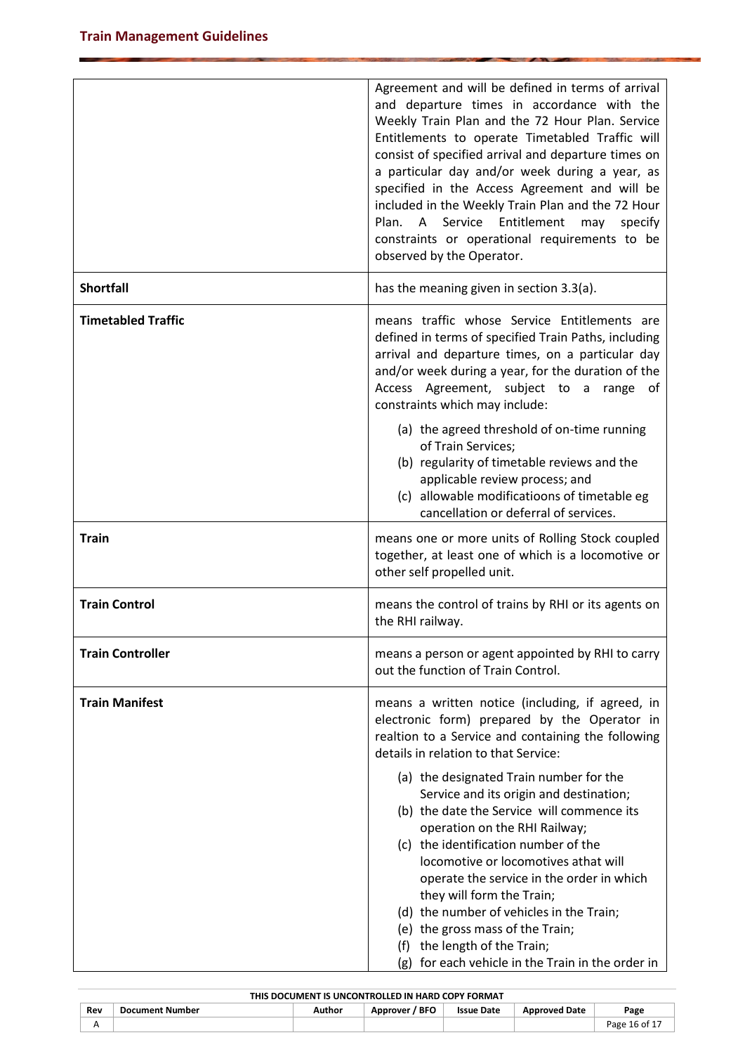|                           | Agreement and will be defined in terms of arrival<br>and departure times in accordance with the<br>Weekly Train Plan and the 72 Hour Plan. Service<br>Entitlements to operate Timetabled Traffic will<br>consist of specified arrival and departure times on<br>a particular day and/or week during a year, as<br>specified in the Access Agreement and will be<br>included in the Weekly Train Plan and the 72 Hour<br>Plan.<br>Service<br>Entitlement<br>A<br>may<br>specify<br>constraints or operational requirements to be<br>observed by the Operator. |  |
|---------------------------|--------------------------------------------------------------------------------------------------------------------------------------------------------------------------------------------------------------------------------------------------------------------------------------------------------------------------------------------------------------------------------------------------------------------------------------------------------------------------------------------------------------------------------------------------------------|--|
| <b>Shortfall</b>          | has the meaning given in section 3.3(a).                                                                                                                                                                                                                                                                                                                                                                                                                                                                                                                     |  |
| <b>Timetabled Traffic</b> | means traffic whose Service Entitlements are<br>defined in terms of specified Train Paths, including<br>arrival and departure times, on a particular day<br>and/or week during a year, for the duration of the<br>Access Agreement, subject to a range of<br>constraints which may include:<br>(a) the agreed threshold of on-time running                                                                                                                                                                                                                   |  |
|                           | of Train Services;<br>(b) regularity of timetable reviews and the<br>applicable review process; and<br>(c) allowable modificatioons of timetable eg<br>cancellation or deferral of services.                                                                                                                                                                                                                                                                                                                                                                 |  |
| <b>Train</b>              | means one or more units of Rolling Stock coupled<br>together, at least one of which is a locomotive or<br>other self propelled unit.                                                                                                                                                                                                                                                                                                                                                                                                                         |  |
| <b>Train Control</b>      | means the control of trains by RHI or its agents on<br>the RHI railway.                                                                                                                                                                                                                                                                                                                                                                                                                                                                                      |  |
| <b>Train Controller</b>   | means a person or agent appointed by RHI to carry<br>out the function of Train Control.                                                                                                                                                                                                                                                                                                                                                                                                                                                                      |  |
| <b>Train Manifest</b>     | means a written notice (including, if agreed, in<br>electronic form) prepared by the Operator in<br>realtion to a Service and containing the following<br>details in relation to that Service:                                                                                                                                                                                                                                                                                                                                                               |  |
|                           | (a) the designated Train number for the<br>Service and its origin and destination;<br>(b) the date the Service will commence its<br>operation on the RHI Railway;<br>(c) the identification number of the<br>locomotive or locomotives athat will<br>operate the service in the order in which<br>they will form the Train;<br>(d) the number of vehicles in the Train;<br>(e) the gross mass of the Train;<br>(f) the length of the Train;<br>(g) for each vehicle in the Train in the order in                                                             |  |

| THIS DOCUMENT IS UNCONTROLLED IN HARD COPY FORMAT |                        |        |                |                   |                      |               |  |  |  |
|---------------------------------------------------|------------------------|--------|----------------|-------------------|----------------------|---------------|--|--|--|
| Rev                                               | <b>Document Number</b> | Author | Approver / BFO | <b>Issue Date</b> | <b>Approved Date</b> | Page          |  |  |  |
| ∼                                                 |                        |        |                |                   |                      | Page 16 of 17 |  |  |  |